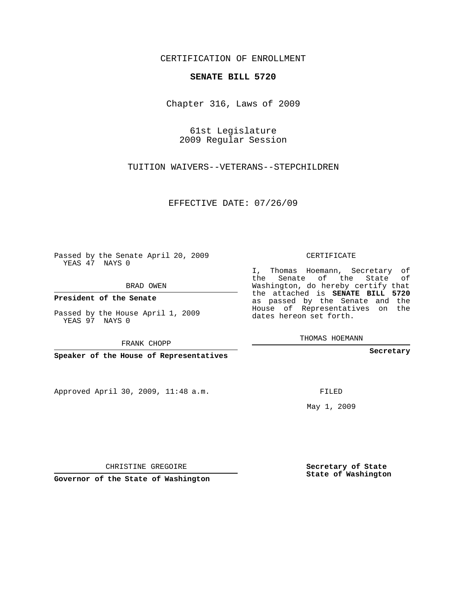## CERTIFICATION OF ENROLLMENT

## **SENATE BILL 5720**

Chapter 316, Laws of 2009

61st Legislature 2009 Regular Session

TUITION WAIVERS--VETERANS--STEPCHILDREN

EFFECTIVE DATE: 07/26/09

Passed by the Senate April 20, 2009 YEAS 47 NAYS 0

BRAD OWEN

**President of the Senate**

YEAS 97 NAYS 0

FRANK CHOPP

**Speaker of the House of Representatives**

Approved April 30, 2009, 11:48 a.m.

CERTIFICATE

I, Thomas Hoemann, Secretary of the Senate of the State of Washington, do hereby certify that the attached is **SENATE BILL 5720** as passed by the Senate and the House of Representatives on the dates hereon set forth.

THOMAS HOEMANN

**Secretary**

May 1, 2009

**Secretary of State State of Washington**

CHRISTINE GREGOIRE

**Governor of the State of Washington**

Passed by the House April 1, 2009

FILED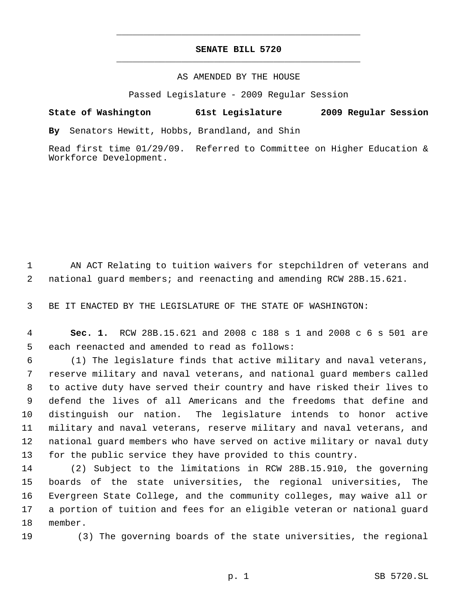## **SENATE BILL 5720** \_\_\_\_\_\_\_\_\_\_\_\_\_\_\_\_\_\_\_\_\_\_\_\_\_\_\_\_\_\_\_\_\_\_\_\_\_\_\_\_\_\_\_\_\_

\_\_\_\_\_\_\_\_\_\_\_\_\_\_\_\_\_\_\_\_\_\_\_\_\_\_\_\_\_\_\_\_\_\_\_\_\_\_\_\_\_\_\_\_\_

## AS AMENDED BY THE HOUSE

Passed Legislature - 2009 Regular Session

**State of Washington 61st Legislature 2009 Regular Session**

**By** Senators Hewitt, Hobbs, Brandland, and Shin

Read first time 01/29/09. Referred to Committee on Higher Education & Workforce Development.

1 AN ACT Relating to tuition waivers for stepchildren of veterans and 2 national guard members; and reenacting and amending RCW 28B.15.621.

3 BE IT ENACTED BY THE LEGISLATURE OF THE STATE OF WASHINGTON:

 4 **Sec. 1.** RCW 28B.15.621 and 2008 c 188 s 1 and 2008 c 6 s 501 are 5 each reenacted and amended to read as follows:

 (1) The legislature finds that active military and naval veterans, reserve military and naval veterans, and national guard members called to active duty have served their country and have risked their lives to defend the lives of all Americans and the freedoms that define and distinguish our nation. The legislature intends to honor active military and naval veterans, reserve military and naval veterans, and national guard members who have served on active military or naval duty for the public service they have provided to this country.

 (2) Subject to the limitations in RCW 28B.15.910, the governing boards of the state universities, the regional universities, The Evergreen State College, and the community colleges, may waive all or a portion of tuition and fees for an eligible veteran or national guard 18 member.

19 (3) The governing boards of the state universities, the regional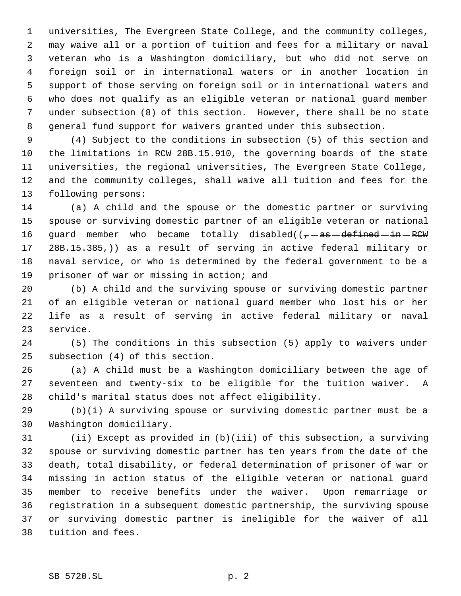universities, The Evergreen State College, and the community colleges, may waive all or a portion of tuition and fees for a military or naval veteran who is a Washington domiciliary, but who did not serve on foreign soil or in international waters or in another location in support of those serving on foreign soil or in international waters and who does not qualify as an eligible veteran or national guard member under subsection (8) of this section. However, there shall be no state general fund support for waivers granted under this subsection.

 (4) Subject to the conditions in subsection (5) of this section and the limitations in RCW 28B.15.910, the governing boards of the state universities, the regional universities, The Evergreen State College, and the community colleges, shall waive all tuition and fees for the following persons:

 (a) A child and the spouse or the domestic partner or surviving spouse or surviving domestic partner of an eligible veteran or national 16 guard member who became totally disabled( $(-$ as-defined-in-RCW 17 28B.15.385,)) as a result of serving in active federal military or naval service, or who is determined by the federal government to be a prisoner of war or missing in action; and

 (b) A child and the surviving spouse or surviving domestic partner of an eligible veteran or national guard member who lost his or her life as a result of serving in active federal military or naval service.

 (5) The conditions in this subsection (5) apply to waivers under subsection (4) of this section.

 (a) A child must be a Washington domiciliary between the age of seventeen and twenty-six to be eligible for the tuition waiver. A child's marital status does not affect eligibility.

 (b)(i) A surviving spouse or surviving domestic partner must be a Washington domiciliary.

 (ii) Except as provided in (b)(iii) of this subsection, a surviving spouse or surviving domestic partner has ten years from the date of the death, total disability, or federal determination of prisoner of war or missing in action status of the eligible veteran or national guard member to receive benefits under the waiver. Upon remarriage or registration in a subsequent domestic partnership, the surviving spouse or surviving domestic partner is ineligible for the waiver of all tuition and fees.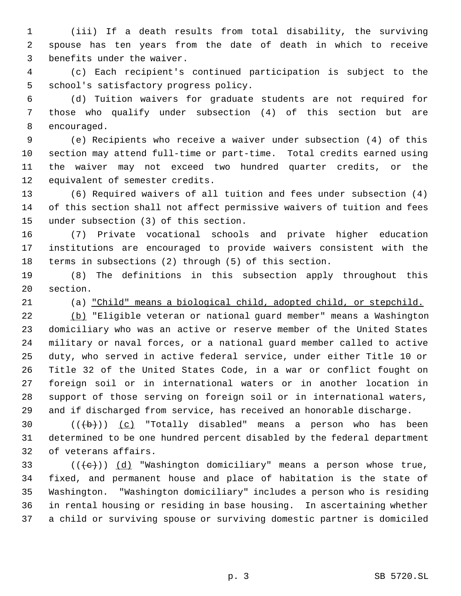(iii) If a death results from total disability, the surviving spouse has ten years from the date of death in which to receive benefits under the waiver.

 (c) Each recipient's continued participation is subject to the school's satisfactory progress policy.

 (d) Tuition waivers for graduate students are not required for those who qualify under subsection (4) of this section but are encouraged.

 (e) Recipients who receive a waiver under subsection (4) of this section may attend full-time or part-time. Total credits earned using the waiver may not exceed two hundred quarter credits, or the equivalent of semester credits.

 (6) Required waivers of all tuition and fees under subsection (4) of this section shall not affect permissive waivers of tuition and fees under subsection (3) of this section.

 (7) Private vocational schools and private higher education institutions are encouraged to provide waivers consistent with the terms in subsections (2) through (5) of this section.

 (8) The definitions in this subsection apply throughout this section.

(a) "Child" means a biological child, adopted child, or stepchild.

 (b) "Eligible veteran or national guard member" means a Washington domiciliary who was an active or reserve member of the United States military or naval forces, or a national guard member called to active duty, who served in active federal service, under either Title 10 or Title 32 of the United States Code, in a war or conflict fought on foreign soil or in international waters or in another location in support of those serving on foreign soil or in international waters, and if discharged from service, has received an honorable discharge.

30  $((+b))$   $(c)$  "Totally disabled" means a person who has been determined to be one hundred percent disabled by the federal department of veterans affairs.

33 ( $(\langle e \rangle)$ ) (d) "Washington domiciliary" means a person whose true, fixed, and permanent house and place of habitation is the state of Washington. "Washington domiciliary" includes a person who is residing in rental housing or residing in base housing. In ascertaining whether a child or surviving spouse or surviving domestic partner is domiciled